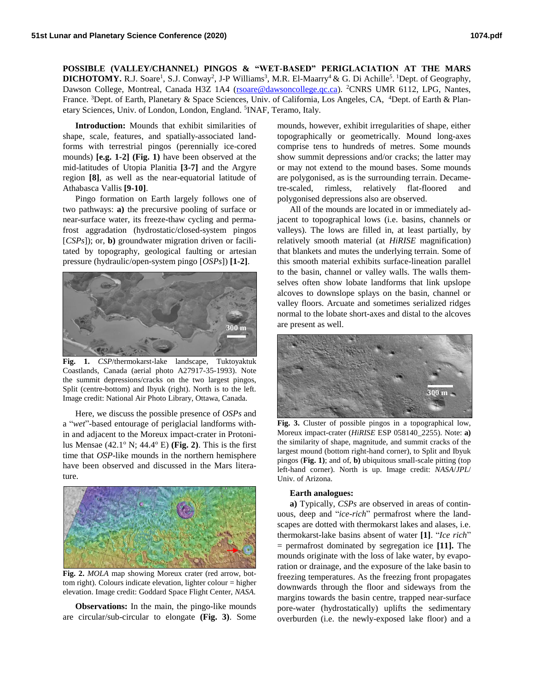**POSSIBLE (VALLEY/CHANNEL) PINGOS & "WET-BASED" PERIGLACIATION AT THE MARS DICHOTOMY.** R.J. Soare<sup>1</sup>, S.J. Conway<sup>2</sup>, J-P Williams<sup>3</sup>, M.R. El-Maarry<sup>4</sup> & G. Di Achille<sup>5</sup>. <sup>1</sup>Dept. of Geography, Dawson College, Montreal, Canada H3Z 1A4 (rsoare@dawsoncollege.gc.ca). <sup>2</sup>CNRS UMR 6112, LPG, Nantes, France. <sup>3</sup>Dept. of Earth, Planetary & Space Sciences, Univ. of California, Los Angeles, CA, <sup>4</sup>Dept. of Earth & Planetary Sciences, Univ. of London, London, England. <sup>5</sup>INAF, Teramo, Italy.

**Introduction:** Mounds that exhibit similarities of shape, scale, features, and spatially-associated landforms with terrestrial pingos (perennially ice-cored mounds) **[e.g. 1-2] (Fig. 1)** have been observed at the mid-latitudes of Utopia Planitia **[3-7]** and the Argyre region **[8]**, as well as the near-equatorial latitude of Athabasca Vallis **[9-10]**.

Pingo formation on Earth largely follows one of two pathways: **a)** the precursive pooling of surface or near-surface water, its freeze-thaw cycling and permafrost aggradation (hydrostatic/closed-system pingos [*CSPs*]); or, **b)** groundwater migration driven or facilitated by topography, geological faulting or artesian pressure (hydraulic/open-system pingo [*OSPs*]) **[1-2]**.



**Fig. 1.** *CSP*/thermokarst-lake landscape, Tuktoyaktuk Coastlands, Canada (aerial photo A27917-35-1993). Note the summit depressions/cracks on the two largest pingos, Split (centre-bottom) and Ibyuk (right). North is to the left. Image credit: National Air Photo Library, Ottawa, Canada.

Here, we discuss the possible presence of *OSPs* and a "*wet*"-based entourage of periglacial landforms within and adjacent to the Moreux impact-crater in Protonilus Mensae (42.1<sup>o</sup> N; 44.4<sup>o</sup> E) **(Fig. 2)**. This is the first time that *OSP*-like mounds in the northern hemisphere have been observed and discussed in the Mars literature.



**Fig. 2.** *MOLA* map showing Moreux crater (red arrow, bottom right). Colours indicate elevation, lighter colour = higher elevation. Image credit: Goddard Space Flight Center, *NASA*.

**Observations:** In the main, the pingo-like mounds are circular/sub-circular to elongate **(Fig. 3)**. Some mounds, however, exhibit irregularities of shape, either topographically or geometrically. Mound long-axes comprise tens to hundreds of metres. Some mounds show summit depressions and/or cracks; the latter may or may not extend to the mound bases. Some mounds are polygonised, as is the surrounding terrain. Decametre-scaled, rimless, relatively flat-floored and polygonised depressions also are observed.

All of the mounds are located in or immediately adjacent to topographical lows (i.e. basins, channels or valleys). The lows are filled in, at least partially, by relatively smooth material (at *HiRISE* magnification) that blankets and mutes the underlying terrain. Some of this smooth material exhibits surface-lineation parallel to the basin, channel or valley walls. The walls themselves often show lobate landforms that link upslope alcoves to downslope splays on the basin, channel or valley floors. Arcuate and sometimes serialized ridges normal to the lobate short-axes and distal to the alcoves are present as well.



**Fig. 3.** Cluster of possible pingos in a topographical low, Moreux impact-crater (*HiRISE* ESP 058140\_2255). Note: **a)** the similarity of shape, magnitude, and summit cracks of the largest mound (bottom right-hand corner), to Split and Ibyuk pingos (**Fig. 1)**; and of, **b)** ubiquitous small-scale pitting (top left-hand corner). North is up. Image credit: *NASA*/*JPL*/ Univ. of Arizona.

## **Earth analogues:**

**a)** Typically, *CSPs* are observed in areas of continuous, deep and "*ice-rich*" permafrost where the landscapes are dotted with thermokarst lakes and alases, i.e. thermokarst-lake basins absent of water **[1]**. "*Ice rich*" = permafrost dominated by segregation ice **[11].** The mounds originate with the loss of lake water, by evaporation or drainage, and the exposure of the lake basin to freezing temperatures. As the freezing front propagates downwards through the floor and sideways from the margins towards the basin centre, trapped near-surface pore-water (hydrostatically) uplifts the sedimentary overburden (i.e. the newly-exposed lake floor) and a